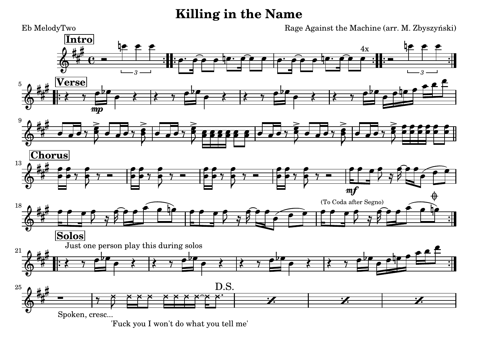## **Killing in the Name**



['Fuck you I won't do what you tell me'](textedit:///tmp/killing_in_the_name.ly:166:11:11)